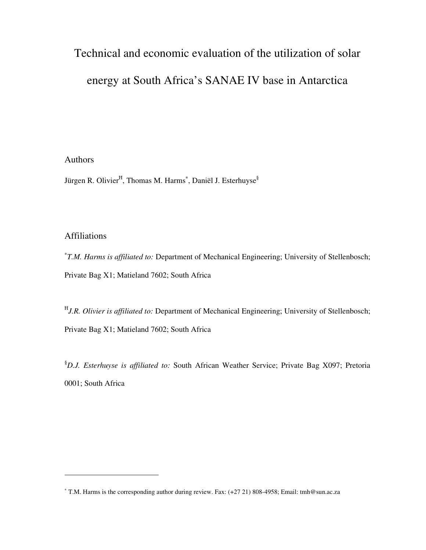# Technical and economic evaluation of the utilization of solar

# energy at South Africa's SANAE IV base in Antarctica

## Authors

Jürgen R. Olivier<sup>H</sup>, Thomas M. Harms<sup>\*</sup>, Daniël J. Esterhuyse<sup>§</sup>

## Affiliations

∗ *T.M. Harms is affiliated to:* Department of Mechanical Engineering; University of Stellenbosch; Private Bag X1; Matieland 7602; South Africa

 *J.R. Olivier is affiliated to:* Department of Mechanical Engineering; University of Stellenbosch; Private Bag X1; Matieland 7602; South Africa

§*D.J. Esterhuyse is affiliated to:* South African Weather Service; Private Bag X097; Pretoria 0001; South Africa

<sup>∗</sup> T.M. Harms is the corresponding author during review. Fax: (+27 21) 808-4958; Email: tmh@sun.ac.za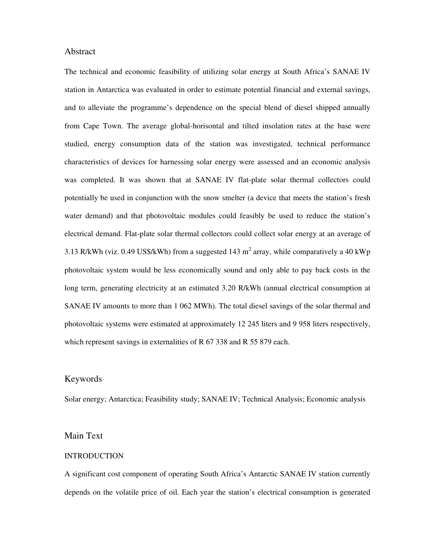#### Abstract

The technical and economic feasibility of utilizing solar energy at South Africa's SANAE IV station in Antarctica was evaluated in order to estimate potential financial and external savings, and to alleviate the programme's dependence on the special blend of diesel shipped annually from Cape Town. The average global-horisontal and tilted insolation rates at the base were studied, energy consumption data of the station was investigated, technical performance characteristics of devices for harnessing solar energy were assessed and an economic analysis was completed. It was shown that at SANAE IV flat-plate solar thermal collectors could potentially be used in conjunction with the snow smelter (a device that meets the station's fresh water demand) and that photovoltaic modules could feasibly be used to reduce the station's electrical demand. Flat-plate solar thermal collectors could collect solar energy at an average of 3.13 R/kWh (viz. 0.49 US\$/kWh) from a suggested 143 m<sup>2</sup> array, while comparatively a 40 kWp photovoltaic system would be less economically sound and only able to pay back costs in the long term, generating electricity at an estimated 3.20 R/kWh (annual electrical consumption at SANAE IV amounts to more than 1 062 MWh). The total diesel savings of the solar thermal and photovoltaic systems were estimated at approximately 12 245 liters and 9 958 liters respectively, which represent savings in externalities of R 67 338 and R 55 879 each.

## Keywords

Solar energy; Antarctica; Feasibility study; SANAE IV; Technical Analysis; Economic analysis

## Main Text

#### **INTRODUCTION**

A significant cost component of operating South Africa's Antarctic SANAE IV station currently depends on the volatile price of oil. Each year the station's electrical consumption is generated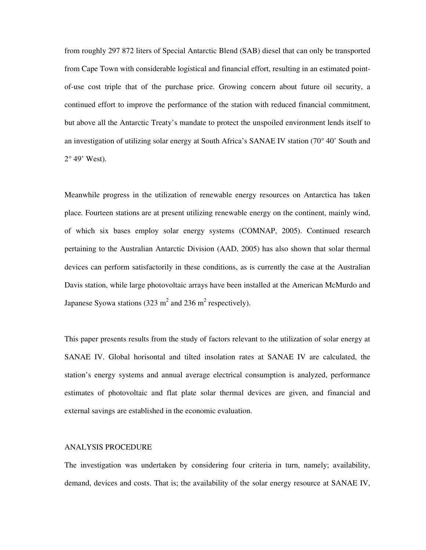from roughly 297 872 liters of Special Antarctic Blend (SAB) diesel that can only be transported from Cape Town with considerable logistical and financial effort, resulting in an estimated pointof-use cost triple that of the purchase price. Growing concern about future oil security, a continued effort to improve the performance of the station with reduced financial commitment, but above all the Antarctic Treaty's mandate to protect the unspoiled environment lends itself to an investigation of utilizing solar energy at South Africa's SANAE IV station (70° 40' South and  $2^{\circ}$  49' West).

Meanwhile progress in the utilization of renewable energy resources on Antarctica has taken place. Fourteen stations are at present utilizing renewable energy on the continent, mainly wind, of which six bases employ solar energy systems (COMNAP, 2005). Continued research pertaining to the Australian Antarctic Division (AAD, 2005) has also shown that solar thermal devices can perform satisfactorily in these conditions, as is currently the case at the Australian Davis station, while large photovoltaic arrays have been installed at the American McMurdo and Japanese Syowa stations (323 m<sup>2</sup> and 236 m<sup>2</sup> respectively).

This paper presents results from the study of factors relevant to the utilization of solar energy at SANAE IV. Global horisontal and tilted insolation rates at SANAE IV are calculated, the station's energy systems and annual average electrical consumption is analyzed, performance estimates of photovoltaic and flat plate solar thermal devices are given, and financial and external savings are established in the economic evaluation.

#### ANALYSIS PROCEDURE

The investigation was undertaken by considering four criteria in turn, namely; availability, demand, devices and costs. That is; the availability of the solar energy resource at SANAE IV,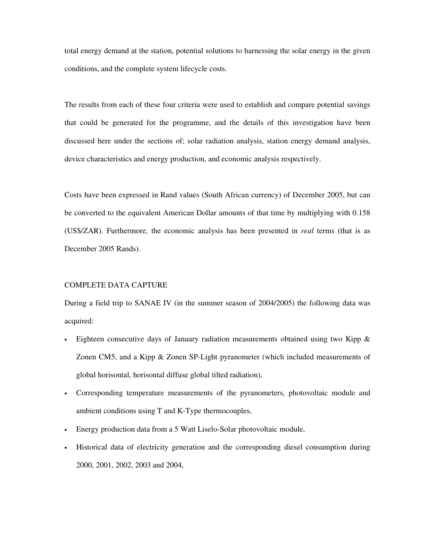total energy demand at the station, potential solutions to harnessing the solar energy in the given conditions, and the complete system lifecycle costs.

The results from each of these four criteria were used to establish and compare potential savings that could be generated for the programme, and the details of this investigation have been discussed here under the sections of; solar radiation analysis, station energy demand analysis, device characteristics and energy production, and economic analysis respectively.

Costs have been expressed in Rand values (South African currency) of December 2005, but can be converted to the equivalent American Dollar amounts of that time by multiplying with 0.158 (US\$/ZAR). Furthermore, the economic analysis has been presented in *real* terms (that is as December 2005 Rands).

#### COMPLETE DATA CAPTURE

During a field trip to SANAE IV (in the summer season of 2004/2005) the following data was acquired:

- Eighteen consecutive days of January radiation measurements obtained using two Kipp  $\&$ Zonen CM5, and a Kipp & Zonen SP-Light pyranometer (which included measurements of global horisontal, horisontal diffuse global tilted radiation),
- Corresponding temperature measurements of the pyranometers, photovoltaic module and ambient conditions using T and K-Type thermocouples,
- Energy production data from a 5 Watt Liselo-Solar photovoltaic module,
- Historical data of electricity generation and the corresponding diesel consumption during 2000, 2001, 2002, 2003 and 2004,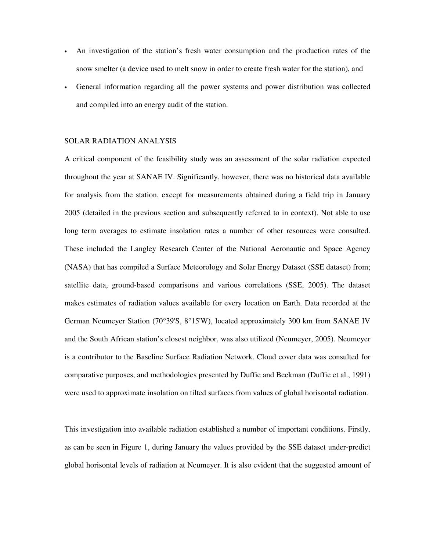- An investigation of the station's fresh water consumption and the production rates of the snow smelter (a device used to melt snow in order to create fresh water for the station), and
- General information regarding all the power systems and power distribution was collected and compiled into an energy audit of the station.

#### SOLAR RADIATION ANALYSIS

A critical component of the feasibility study was an assessment of the solar radiation expected throughout the year at SANAE IV. Significantly, however, there was no historical data available for analysis from the station, except for measurements obtained during a field trip in January 2005 (detailed in the previous section and subsequently referred to in context). Not able to use long term averages to estimate insolation rates a number of other resources were consulted. These included the Langley Research Center of the National Aeronautic and Space Agency (NASA) that has compiled a Surface Meteorology and Solar Energy Dataset (SSE dataset) from; satellite data, ground-based comparisons and various correlations (SSE, 2005). The dataset makes estimates of radiation values available for every location on Earth. Data recorded at the German Neumeyer Station (70°39'S, 8°15'W), located approximately 300 km from SANAE IV and the South African station's closest neighbor, was also utilized (Neumeyer, 2005). Neumeyer is a contributor to the Baseline Surface Radiation Network. Cloud cover data was consulted for comparative purposes, and methodologies presented by Duffie and Beckman (Duffie et al., 1991) were used to approximate insolation on tilted surfaces from values of global horisontal radiation.

This investigation into available radiation established a number of important conditions. Firstly, as can be seen in Figure 1, during January the values provided by the SSE dataset under-predict global horisontal levels of radiation at Neumeyer. It is also evident that the suggested amount of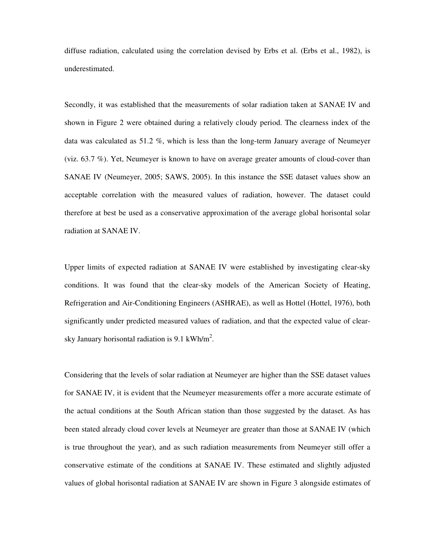diffuse radiation, calculated using the correlation devised by Erbs et al. (Erbs et al., 1982), is underestimated.

Secondly, it was established that the measurements of solar radiation taken at SANAE IV and shown in Figure 2 were obtained during a relatively cloudy period. The clearness index of the data was calculated as 51.2 %, which is less than the long-term January average of Neumeyer (viz. 63.7 %). Yet, Neumeyer is known to have on average greater amounts of cloud-cover than SANAE IV (Neumeyer, 2005; SAWS, 2005). In this instance the SSE dataset values show an acceptable correlation with the measured values of radiation, however. The dataset could therefore at best be used as a conservative approximation of the average global horisontal solar radiation at SANAE IV.

Upper limits of expected radiation at SANAE IV were established by investigating clear-sky conditions. It was found that the clear-sky models of the American Society of Heating, Refrigeration and Air-Conditioning Engineers (ASHRAE), as well as Hottel (Hottel, 1976), both significantly under predicted measured values of radiation, and that the expected value of clearsky January horisontal radiation is 9.1 kWh/m<sup>2</sup>.

Considering that the levels of solar radiation at Neumeyer are higher than the SSE dataset values for SANAE IV, it is evident that the Neumeyer measurements offer a more accurate estimate of the actual conditions at the South African station than those suggested by the dataset. As has been stated already cloud cover levels at Neumeyer are greater than those at SANAE IV (which is true throughout the year), and as such radiation measurements from Neumeyer still offer a conservative estimate of the conditions at SANAE IV. These estimated and slightly adjusted values of global horisontal radiation at SANAE IV are shown in Figure 3 alongside estimates of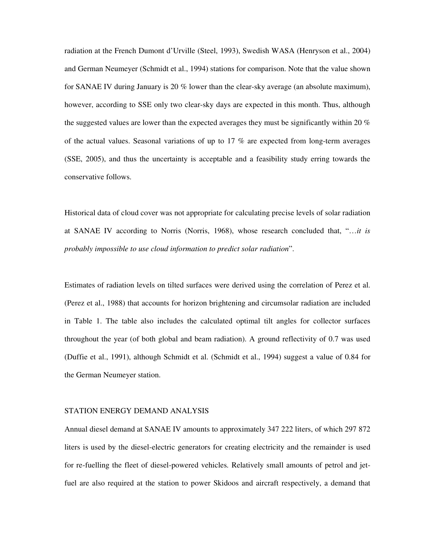radiation at the French Dumont d'Urville (Steel, 1993), Swedish WASA (Henryson et al., 2004) and German Neumeyer (Schmidt et al., 1994) stations for comparison. Note that the value shown for SANAE IV during January is 20 % lower than the clear-sky average (an absolute maximum), however, according to SSE only two clear-sky days are expected in this month. Thus, although the suggested values are lower than the expected averages they must be significantly within 20 % of the actual values. Seasonal variations of up to 17 % are expected from long-term averages (SSE, 2005), and thus the uncertainty is acceptable and a feasibility study erring towards the conservative follows.

Historical data of cloud cover was not appropriate for calculating precise levels of solar radiation at SANAE IV according to Norris (Norris, 1968), whose research concluded that, "…*it is probably impossible to use cloud information to predict solar radiation*".

Estimates of radiation levels on tilted surfaces were derived using the correlation of Perez et al. (Perez et al., 1988) that accounts for horizon brightening and circumsolar radiation are included in Table 1. The table also includes the calculated optimal tilt angles for collector surfaces throughout the year (of both global and beam radiation). A ground reflectivity of 0.7 was used (Duffie et al., 1991), although Schmidt et al. (Schmidt et al., 1994) suggest a value of 0.84 for the German Neumeyer station.

#### STATION ENERGY DEMAND ANALYSIS

Annual diesel demand at SANAE IV amounts to approximately 347 222 liters, of which 297 872 liters is used by the diesel-electric generators for creating electricity and the remainder is used for re-fuelling the fleet of diesel-powered vehicles. Relatively small amounts of petrol and jetfuel are also required at the station to power Skidoos and aircraft respectively, a demand that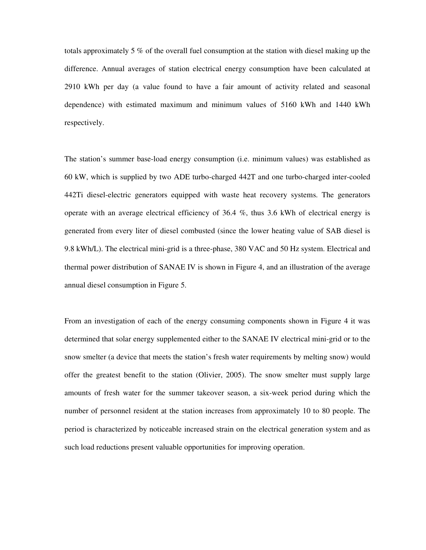totals approximately 5 % of the overall fuel consumption at the station with diesel making up the difference. Annual averages of station electrical energy consumption have been calculated at 2910 kWh per day (a value found to have a fair amount of activity related and seasonal dependence) with estimated maximum and minimum values of 5160 kWh and 1440 kWh respectively.

The station's summer base-load energy consumption (i.e. minimum values) was established as 60 kW, which is supplied by two ADE turbo-charged 442T and one turbo-charged inter-cooled 442Ti diesel-electric generators equipped with waste heat recovery systems. The generators operate with an average electrical efficiency of  $36.4\%$ , thus  $3.6$  kWh of electrical energy is generated from every liter of diesel combusted (since the lower heating value of SAB diesel is 9.8 kWh/L). The electrical mini-grid is a three-phase, 380 VAC and 50 Hz system. Electrical and thermal power distribution of SANAE IV is shown in Figure 4, and an illustration of the average annual diesel consumption in Figure 5.

From an investigation of each of the energy consuming components shown in Figure 4 it was determined that solar energy supplemented either to the SANAE IV electrical mini-grid or to the snow smelter (a device that meets the station's fresh water requirements by melting snow) would offer the greatest benefit to the station (Olivier, 2005). The snow smelter must supply large amounts of fresh water for the summer takeover season, a six-week period during which the number of personnel resident at the station increases from approximately 10 to 80 people. The period is characterized by noticeable increased strain on the electrical generation system and as such load reductions present valuable opportunities for improving operation.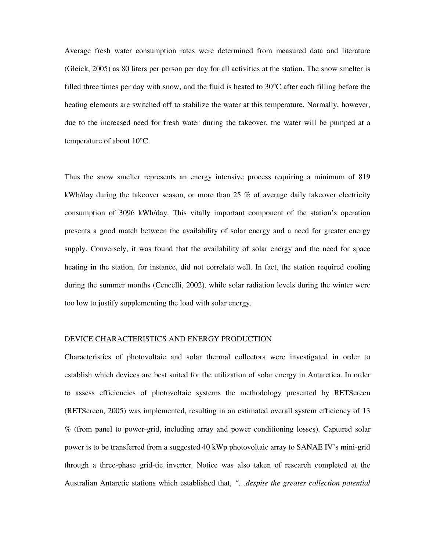Average fresh water consumption rates were determined from measured data and literature (Gleick, 2005) as 80 liters per person per day for all activities at the station. The snow smelter is filled three times per day with snow, and the fluid is heated to 30°C after each filling before the heating elements are switched off to stabilize the water at this temperature. Normally, however, due to the increased need for fresh water during the takeover, the water will be pumped at a temperature of about 10°C.

Thus the snow smelter represents an energy intensive process requiring a minimum of 819 kWh/day during the takeover season, or more than 25 % of average daily takeover electricity consumption of 3096 kWh/day. This vitally important component of the station's operation presents a good match between the availability of solar energy and a need for greater energy supply. Conversely, it was found that the availability of solar energy and the need for space heating in the station, for instance, did not correlate well. In fact, the station required cooling during the summer months (Cencelli, 2002), while solar radiation levels during the winter were too low to justify supplementing the load with solar energy.

#### DEVICE CHARACTERISTICS AND ENERGY PRODUCTION

Characteristics of photovoltaic and solar thermal collectors were investigated in order to establish which devices are best suited for the utilization of solar energy in Antarctica. In order to assess efficiencies of photovoltaic systems the methodology presented by RETScreen (RETScreen, 2005) was implemented, resulting in an estimated overall system efficiency of 13 % (from panel to power-grid, including array and power conditioning losses). Captured solar power is to be transferred from a suggested 40 kWp photovoltaic array to SANAE IV's mini-grid through a three-phase grid-tie inverter. Notice was also taken of research completed at the Australian Antarctic stations which established that, *"…despite the greater collection potential*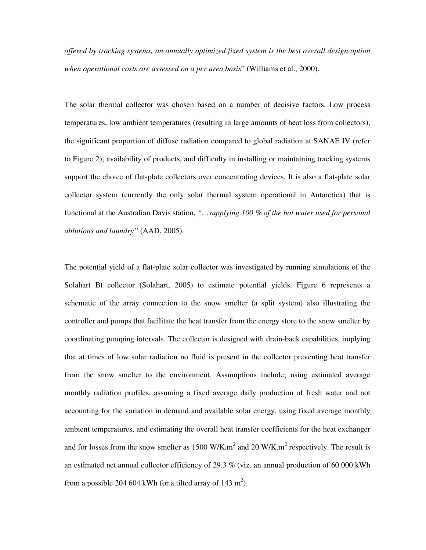*offered by tracking systems, an annually optimized fixed system is the best overall design option when operational costs are assessed on a per area basis*" (Williams et al., 2000).

The solar thermal collector was chosen based on a number of decisive factors. Low process temperatures, low ambient temperatures (resulting in large amounts of heat loss from collectors), the significant proportion of diffuse radiation compared to global radiation at SANAE IV (refer to Figure 2), availability of products, and difficulty in installing or maintaining tracking systems support the choice of flat-plate collectors over concentrating devices. It is also a flat-plate solar collector system (currently the only solar thermal system operational in Antarctica) that is functional at the Australian Davis station, *"…supplying 100 % of the hot water used for personal ablutions and laundry"* (AAD, 2005).

The potential yield of a flat-plate solar collector was investigated by running simulations of the Solahart Bt collector (Solahart, 2005) to estimate potential yields. Figure 6 represents a schematic of the array connection to the snow smelter (a split system) also illustrating the controller and pumps that facilitate the heat transfer from the energy store to the snow smelter by coordinating pumping intervals. The collector is designed with drain-back capabilities, implying that at times of low solar radiation no fluid is present in the collector preventing heat transfer from the snow smelter to the environment. Assumptions include; using estimated average monthly radiation profiles, assuming a fixed average daily production of fresh water and not accounting for the variation in demand and available solar energy, using fixed average monthly ambient temperatures, and estimating the overall heat transfer coefficients for the heat exchanger and for losses from the snow smelter as 1500 W/K.m<sup>2</sup> and 20 W/K.m<sup>2</sup> respectively. The result is an estimated net annual collector efficiency of 29.3 % (viz. an annual production of 60 000 kWh from a possible 204 604 kWh for a tilted array of 143 m<sup>2</sup>).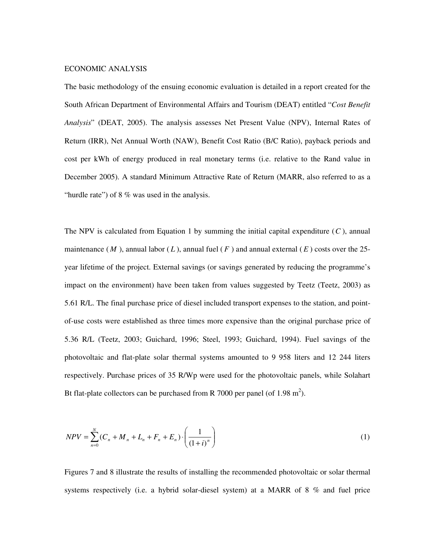#### ECONOMIC ANALYSIS

The basic methodology of the ensuing economic evaluation is detailed in a report created for the South African Department of Environmental Affairs and Tourism (DEAT) entitled "*Cost Benefit Analysis*" (DEAT, 2005). The analysis assesses Net Present Value (NPV), Internal Rates of Return (IRR), Net Annual Worth (NAW), Benefit Cost Ratio (B/C Ratio), payback periods and cost per kWh of energy produced in real monetary terms (i.e. relative to the Rand value in December 2005). A standard Minimum Attractive Rate of Return (MARR, also referred to as a "hurdle rate") of 8 % was used in the analysis.

The NPV is calculated from Equation 1 by summing the initial capital expenditure (*C* ), annual maintenance  $(M)$ , annual labor  $(L)$ , annual fuel  $(F)$  and annual external  $(E)$  costs over the 25year lifetime of the project. External savings (or savings generated by reducing the programme's impact on the environment) have been taken from values suggested by Teetz (Teetz, 2003) as 5.61 R/L. The final purchase price of diesel included transport expenses to the station, and pointof-use costs were established as three times more expensive than the original purchase price of 5.36 R/L (Teetz, 2003; Guichard, 1996; Steel, 1993; Guichard, 1994). Fuel savings of the photovoltaic and flat-plate solar thermal systems amounted to 9 958 liters and 12 244 liters respectively. Purchase prices of 35 R/Wp were used for the photovoltaic panels, while Solahart Bt flat-plate collectors can be purchased from R 7000 per panel (of 1.98 m<sup>2</sup>).

$$
NPV = \sum_{n=0}^{N} (C_n + M_n + L_n + F_n + E_n) \cdot \left(\frac{1}{(1+i)^n}\right)
$$
 (1)

Figures 7 and 8 illustrate the results of installing the recommended photovoltaic or solar thermal systems respectively (i.e. a hybrid solar-diesel system) at a MARR of 8 % and fuel price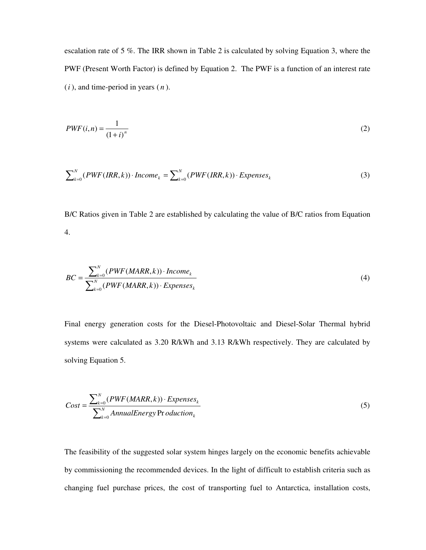escalation rate of 5 %. The IRR shown in Table 2 is calculated by solving Equation 3, where the PWF (Present Worth Factor) is defined by Equation 2. The PWF is a function of an interest rate (*i* ), and time-period in years ( *n* ).

$$
PWF(i,n) = \frac{1}{(1+i)^n} \tag{2}
$$

$$
\sum_{k=0}^{N} (PWF(IRR, k)) \cdot Income_k = \sum_{k=0}^{N} (PWF(IRR, k)) \cdot Expenses_k \tag{3}
$$

B/C Ratios given in Table 2 are established by calculating the value of B/C ratios from Equation 4.

$$
BC = \frac{\sum_{k=0}^{N} (PWF(MARR, k)) \cdot Income_k}{\sum_{k=0}^{N} (PWF(MARR, k)) \cdot Expenses_k}
$$
\n(4)

Final energy generation costs for the Diesel-Photovoltaic and Diesel-Solar Thermal hybrid systems were calculated as 3.20 R/kWh and 3.13 R/kWh respectively. They are calculated by solving Equation 5.

$$
Cost = \frac{\sum_{k=0}^{N} (PWF(MARR, k)) \cdot Expenses_k}{\sum_{k=0}^{N} AnnualEnergy \text{Pr} oduction_k}
$$
\n(5)

The feasibility of the suggested solar system hinges largely on the economic benefits achievable by commissioning the recommended devices. In the light of difficult to establish criteria such as changing fuel purchase prices, the cost of transporting fuel to Antarctica, installation costs,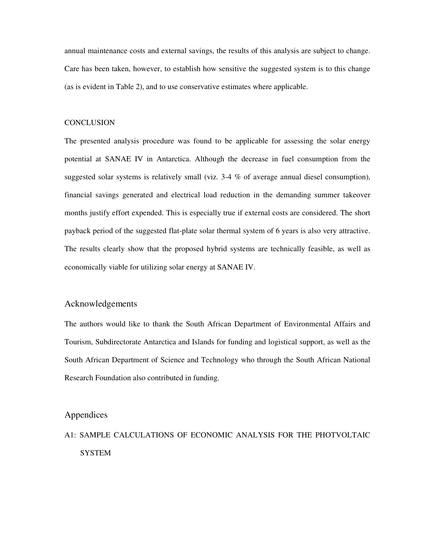annual maintenance costs and external savings, the results of this analysis are subject to change. Care has been taken, however, to establish how sensitive the suggested system is to this change (as is evident in Table 2), and to use conservative estimates where applicable.

#### **CONCLUSION**

The presented analysis procedure was found to be applicable for assessing the solar energy potential at SANAE IV in Antarctica. Although the decrease in fuel consumption from the suggested solar systems is relatively small (viz. 3-4 % of average annual diesel consumption), financial savings generated and electrical load reduction in the demanding summer takeover months justify effort expended. This is especially true if external costs are considered. The short payback period of the suggested flat-plate solar thermal system of 6 years is also very attractive. The results clearly show that the proposed hybrid systems are technically feasible, as well as economically viable for utilizing solar energy at SANAE IV.

#### Acknowledgements

The authors would like to thank the South African Department of Environmental Affairs and Tourism, Subdirectorate Antarctica and Islands for funding and logistical support, as well as the South African Department of Science and Technology who through the South African National Research Foundation also contributed in funding.

## Appendices

# A1: SAMPLE CALCULATIONS OF ECONOMIC ANALYSIS FOR THE PHOTVOLTAIC SYSTEM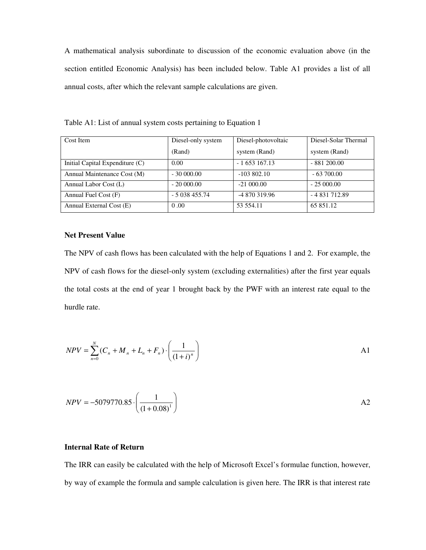A mathematical analysis subordinate to discussion of the economic evaluation above (in the section entitled Economic Analysis) has been included below. Table A1 provides a list of all annual costs, after which the relevant sample calculations are given.

| Cost Item                       | Diesel-only system | Diesel-photovoltaic | Diesel-Solar Thermal |
|---------------------------------|--------------------|---------------------|----------------------|
|                                 | (Rand)             | system (Rand)       | system (Rand)        |
| Initial Capital Expenditure (C) | 0.00               | $-1653167.13$       | $-881200.00$         |
| Annual Maintenance Cost (M)     | $-3000000$         | $-103802.10$        | $-63700.00$          |
| Annual Labor Cost (L)           | $-2000000$         | $-21000.00$         | $-25000.00$          |
| Annual Fuel Cost (F)            | $-5038455.74$      | -4 870 319.96       | $-4831712.89$        |
| Annual External Cost (E)        | 0.00               | 53 554.11           | 65 851.12            |

Table A1: List of annual system costs pertaining to Equation 1

#### **Net Present Value**

The NPV of cash flows has been calculated with the help of Equations 1 and 2. For example, the NPV of cash flows for the diesel-only system (excluding externalities) after the first year equals the total costs at the end of year 1 brought back by the PWF with an interest rate equal to the hurdle rate.

$$
NPV = \sum_{n=0}^{N} (C_n + M_n + L_n + F_n) \cdot \left(\frac{1}{(1+i)^n}\right)
$$

$$
NPV = -5079770.85 \cdot \left(\frac{1}{(1+0.08)^{1}}\right)
$$

## **Internal Rate of Return**

The IRR can easily be calculated with the help of Microsoft Excel's formulae function, however, by way of example the formula and sample calculation is given here. The IRR is that interest rate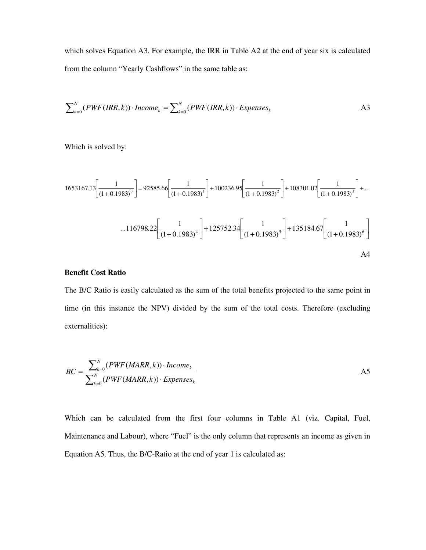which solves Equation A3. For example, the IRR in Table A2 at the end of year six is calculated from the column "Yearly Cashflows" in the same table as:

$$
\sum_{k=0}^{N} (PWF(IRR, k)) \cdot Income_k = \sum_{k=0}^{N} (PWF(IRR, k)) \cdot Expenses_k
$$

Which is solved by:

$$
1653167.13\left[\frac{1}{(1+0.1983)^{0}}\right] = 92585.66\left[\frac{1}{(1+0.1983)^{1}}\right] + 100236.95\left[\frac{1}{(1+0.1983)^{2}}\right] + 108301.02\left[\frac{1}{(1+0.1983)^{3}}\right] + ...
$$
  
...116798.22 $\left[\frac{1}{(1+0.1983)^{4}}\right] + 125752.34\left[\frac{1}{(1+0.1983)^{5}}\right] + 135184.67\left[\frac{1}{(1+0.1983)^{6}}\right]$   
AA4

## **Benefit Cost Ratio**

The B/C Ratio is easily calculated as the sum of the total benefits projected to the same point in time (in this instance the NPV) divided by the sum of the total costs. Therefore (excluding externalities):

$$
BC = \frac{\sum_{k=0}^{N} (PWF(MARR, k)) \cdot Income_k}{\sum_{k=0}^{N} (PWF(MARR, k)) \cdot Expenses_k}
$$

Which can be calculated from the first four columns in Table A1 (viz. Capital, Fuel, Maintenance and Labour), where "Fuel" is the only column that represents an income as given in Equation A5. Thus, the B/C-Ratio at the end of year 1 is calculated as: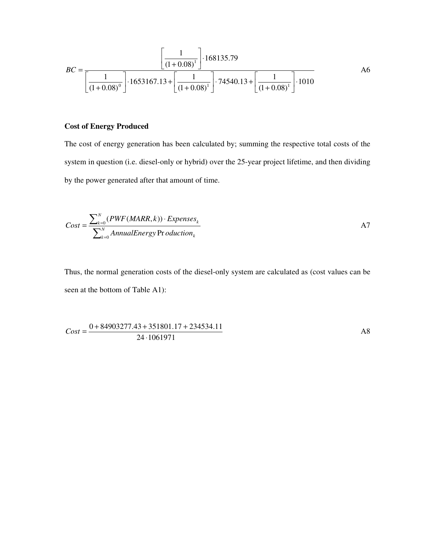$$
BC = \frac{\left[\frac{1}{(1+0.08)^{1}}\right] \cdot 168135.79}{\left[\frac{1}{(1+0.08)^{0}}\right] \cdot 1653167.13 + \left[\frac{1}{(1+0.08)^{1}}\right] \cdot 74540.13 + \left[\frac{1}{(1+0.08)^{1}}\right] \cdot 1010}
$$

## **Cost of Energy Produced**

The cost of energy generation has been calculated by; summing the respective total costs of the system in question (i.e. diesel-only or hybrid) over the 25-year project lifetime, and then dividing by the power generated after that amount of time.

$$
Cost = \frac{\sum_{k=0}^{N} (PWF(MARR, k)) \cdot Expenses_k}{\sum_{k=0}^{N} AnnualEnergy \text{Pr} oduction_k}
$$

Thus, the normal generation costs of the diesel-only system are calculated as (cost values can be seen at the bottom of Table A1):

$$
Cost = \frac{0 + 84903277.43 + 351801.17 + 234534.11}{24 \cdot 1061971}
$$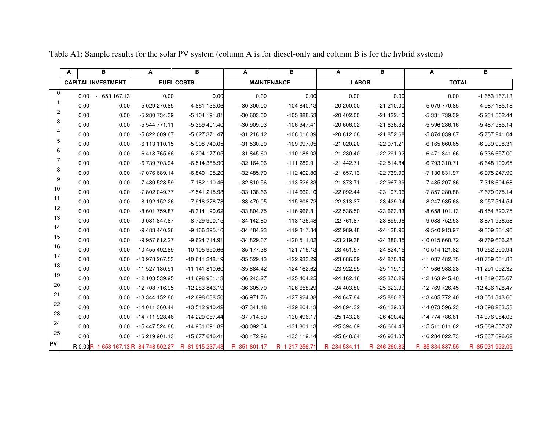|    | A    | в                         | Α                                     | в                 | A            | в                  | A            | B            | A               | в               |
|----|------|---------------------------|---------------------------------------|-------------------|--------------|--------------------|--------------|--------------|-----------------|-----------------|
|    |      | <b>CAPITAL INVESTMENT</b> |                                       | <b>FUEL COSTS</b> |              | <b>MAINTENANCE</b> | <b>LABOR</b> |              | <b>TOTAL</b>    |                 |
|    | 0.00 | -1 653 167.13             | 0.00                                  | 0.00              | 0.00         | 0.00               | 0.00         | 0.00         | 0.00            | -1 653 167.13   |
|    | 0.00 | 0.00                      | -5 029 270.85                         | -4 861 135.06     | $-30300.00$  | $-104840.13$       | $-20200.00$  | $-21210.00$  | -5 079 770.85   | -4 987 185.18   |
|    | 0.00 | 0.00                      | -5 280 734.39                         | -5 104 191.81     | $-30603.00$  | -105 888.53        | $-20402.00$  | $-21422.10$  | -5 331 739.39   | -5 231 502.44   |
|    | 0.00 | 0.00                      | -5 544 771.11                         | -5 359 401.40     | $-3099.03$   | -106 947.41        | $-20606.02$  | -21 636.32   | -5 596 286.16   | -5 487 985.14   |
|    | 0.00 | 0.00                      | -5 822 009.67                         | -5 627 371.47     | $-31218.12$  | -108 016.89        | $-20812.08$  | $-21852.68$  | -5 874 039.87   | -5 757 241.04   |
|    | 0.00 | 0.00                      | -6 113 110.15                         | -5 908 740.05     | -31 530.30   | -109 097.05        | $-21020.20$  | -22 071.21   | -6 165 660.65   | -6 039 908.31   |
|    | 0.00 | 0.00                      | -6418765.66                           | -6 204 177.05     | $-31845.60$  | $-110$ 188.03      | $-21230.40$  | -22 291.92   | -6 471 841.66   | -6 336 657.00   |
|    | 0.00 | 0.00                      | -6 739 703.94                         | -6 514 385.90     | $-32$ 164.06 | $-111289.91$       | $-21442.71$  | $-22514.84$  | -6 793 310.71   | -6 648 190.65   |
|    | 0.00 | 0.00                      | -7 076 689.14                         | -6 840 105.20     | $-32485.70$  | -112 402.80        | $-21657.13$  | -22 739.99   | -7 130 831.97   | -6 975 247.99   |
|    | 0.00 | 0.00                      | -7 430 523.59                         | -7 182 110.46     | $-32810.56$  | -113 526.83        | -21 873.71   | -22 967.39   | -7 485 207.86   | -7 318 604.68   |
| 10 | 0.00 | 0.00                      | -7802 049.77                          | -7 541 215.98     | $-33138.66$  | $-114662.10$       | $-22092.44$  | -23 197.06   | -7 857 280.88   | -7 679 075.14   |
| 11 | 0.00 | 0.00                      | -8 192 152.26                         | -7 918 276.78     | -33 470.05   | -115 808.72        | -22 313.37   | $-23429.04$  | -8 247 935.68   | -8 057 514.54   |
| 12 | 0.00 | 0.00                      | -8 601 759.87                         | -8 314 190.62     | -33 804.75   | $-116966.81$       | $-22536.50$  | -23 663.33   | -8 658 101.13   | -8 454 820.75   |
| 13 | 0.00 | 0.00                      | -9 031 847.87                         | -8729900.15       | $-34$ 142.80 | -118 136.48        | -22 761.87   | -23 899.96   | -9 088 752.53   | -8 871 936.58   |
| 14 | 0.00 | 0.00                      | -9 483 440.26                         | -9 166 395.16     | $-34484.23$  | -119 317.84        | $-22989.48$  | -24 138.96   | -9 540 913.97   | -9 309 851.96   |
| 15 | 0.00 | 0.00                      | -9 957 612.27                         | -9 624 714.91     | -34 829.07   | $-120511.02$       | -23 219.38   | -24 380.35   | -10 015 660.72  | -9 769 606.28   |
| 16 | 0.00 | 0.00                      | -10 455 492.89                        | -10 105 950.66    | -35 177.36   | $-121716.13$       | $-23451.57$  | $-24624.15$  | -10 514 121.82  | -10 252 290.94  |
| 17 | 0.00 | 0.00                      | -10 978 267.53                        | -10 611 248.19    | $-35529.13$  | -122 933.29        | $-23686.09$  | -24 870.39   | -11 037 482.75  | -10 759 051.88  |
| 18 | 0.00 | 0.00                      | -11 527 180.91                        | -11 141 810.60    | -35 884.42   | -124 162.62        | -23 922.95   | $-25119.10$  | -11 586 988.28  | -11 291 092.32  |
| 19 | 0.00 | 0.00                      | -12 103 539.95                        | -11 698 901.13    | -36 243.27   | -125 404.25        | $-24$ 162.18 | -25 370.29   | -12 163 945.40  | -11 849 675.67  |
| 20 | 0.00 | 0.00                      | -12 708 716.95                        | -12 283 846.19    | -36 605.70   | -126 658.29        | -24 403.80   | -25 623.99   | -12 769 726.45  | -12 436 128.47  |
| 21 | 0.00 | 0.00                      | -13 344 152.80                        | -12 898 038.50    | $-36971.76$  | $-127924.88$       | $-24647.84$  | -25 880.23   | -13 405 772.40  | -13 051 843.60  |
| 22 | 0.00 | 0.00                      | -14 011 360.44                        | -13 542 940.42    | $-37341.48$  | $-129204.13$       | -24 894.32   | -26 139.03   | -14 073 596.23  | -13 698 283.58  |
| 23 | 0.00 | 0.00                      | -14 711 928.46                        | -14 220 087.44    | $-37714.89$  | -130 496.17        | $-25143.26$  | $-26400.42$  | -14 774 786.61  | -14 376 984.03  |
| 24 | 0.00 | 0.00                      | -15 447 524.88                        | -14 931 091.82    | -38 092.04   | $-131801.13$       | $-25394.69$  | -26 664.43   | -15 511 011.62  | -15 089 557.37  |
| 25 | 0.00 | 0.00                      | -16 219 901.13                        | -15 677 646.41    | -38 472.96   | -133 119.14        | $-25648.64$  | -26 931.07   | -16 284 022.73  | -15 837 696.62  |
| PV |      |                           | R 0.00R -1 653 167.13R -84 748 502.27 | R-81 915 237.43   | R-351 801.17 | R-1 217 256.71     | R-234 534.11 | R-246 260.82 | R-85 334 837.55 | R-85 031 922.09 |

Table A1: Sample results for the solar PV system (column A is for diesel-only and column B is for the hybrid system)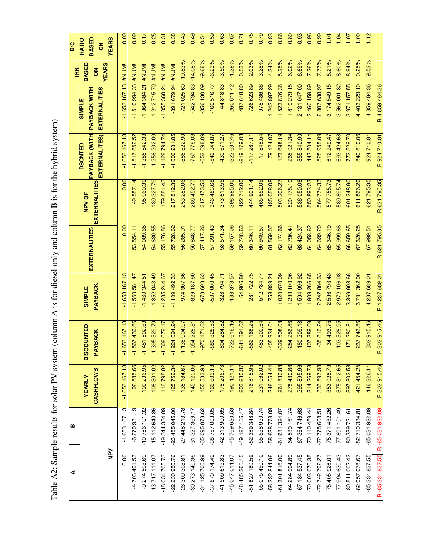|                                         |                         | R4859484.36                                                  | R 924 710.81                                     | R 621 795.35                   | R 621 795.35         | R4237689.01                          | R 302 915.46                            | R 302 915.46               |                  | R-85 334 837.55 R-85 031 922.09 |
|-----------------------------------------|-------------------------|--------------------------------------------------------------|--------------------------------------------------|--------------------------------|----------------------|--------------------------------------|-----------------------------------------|----------------------------|------------------|---------------------------------|
| 1.12                                    | 9.52%                   | 4859484.36                                                   | 924710.81                                        | 621795.35                      | 67999.51             | 4 237 689.01                         | 302 915.46                              | 446 326 11                 | -85 031 922.09   | -85 334 837.55                  |
| 1.09                                    | 9.25%                   | 4 403 229.10                                                 | 849 610.06                                       | 611866.20                      | 67 326.25            | 3791362.90                           | 237 743.86                              | 421 454.25                 | -82 719 334.81   | -82 957 078.67                  |
| 1.07                                    | 8.94%                   | 3971157.55                                                   | 772529.70                                        | 601 248.90                     | 66 659.65            | 369 908.66<br>ო                      | 171 280.81                              | 397802.58                  | -80 339 721 61   | -80 511 002.42                  |
| 1.04                                    | 8.60%                   | 562 001.82<br>ო                                              | 693 424.68                                       | 589 895.74                     | 65 999.66            | 972106.08<br>$\mathbf{\alpha}$       | 103528.95                               | 375312.65                  | $-77891101.49$   | -77 994 630.43                  |
| 1.01                                    | 8.21%                   | 3 174 549.15                                                 | 612 249.47                                       | 577755.73                      | 65 346.19            | 596793.43<br>$\overline{\mathsf{N}}$ | 34 493.75                               | 353928.79                  | $-75371432.26$   | $-75405926.01$                  |
| 0.99                                    | 7.77%                   | 2807638.97                                                   | 528958.09                                        | 564 774.33                     | 64 699.20            | 242864.63<br>$\overline{\mathsf{N}}$ | $-35816.24$                             | 333 597.98                 | $-72778608.51$   | $-72$ 742 792.27                |
| 0.96                                    | 7.26%                   | 2460159.89                                                   | 443504.14                                        | 550 893.23                     | 64 058.62            | 909 266.65                           | $-107389.09$                            | 314 269.73                 | $-70$ 110 459.44 | -70 003 070.35                  |
| 0.93                                    | 6.69%                   | 2 131 047.00                                                 | 355840.90                                        | 536 050.08                     | 63 424.37            | 594 996.92                           | $-180209.18$                            | 295 895.96                 | $-67364746.63$   | -67 184 537.45                  |
| 0.89                                    | 6.02%                   | 819 279.15                                                   | 265 921.34                                       | 520 178.19                     | 62 796.41            | 299 100.96                           | $-254256.86$                            | 278 430.88                 | -64 539 161.74   | -64 284 904.89                  |
| 0.86                                    | 5.25%                   | 523 876.36                                                   | 173 698.19                                       | 503 206.27                     | 62 174.66            | 020670.09                            | $-329508.08$                            | 261830.88                  | -61 631 324.07   | -61 301 816.00                  |
| 0.83                                    | 4.34%                   | 243 897.29                                                   | 79124.07                                         | 485058.08                      | 61 559.07            | 758839.21                            | $-405934.01$                            | 246 054.44                 | -58 638 778.08   | -58 232 844.06                  |
| 0.79                                    | 3.28%                   | 978 436.86                                                   | $-17848.54$                                      | 465 652.09                     | 60 949.57            | 512784.77                            | $-483500.64$                            | 231 062.02                 | -55 558 990.74   | -55 075 490.10                  |
| 0.75                                    | 2.03%                   | 726 623.89                                                   | $-117267.11$                                     | 444 901.14                     | 60 346.11            | 281722.75                            | $-562$ 168.25                           | 216815.95                  | -52 389 348.84   | -51 827 180.59                  |
| 0.71                                    | 0.53%                   | 487618.80                                                    | 219179.03                                        | 422712.00                      | 59 748.63            | 64906.80                             | $-641891.02$                            | 203 280.37                 | $-49$ 127 156.17 | -48 485 265.15                  |
| 0.67                                    | $-1.28%$                | 260 611.42                                                   | 323 631.46                                       | 398 985.00                     | 59 157.06            | $-138373.57$                         | $-722616.46$                            | 190421.14                  | -45 769 630.53   | -45 047 014.07                  |
| 0.63                                    | $-3.50%$                | 44818.83                                                     | -430 671.27                                      | 373 613.55                     | 58 571.34            | -328 794.71                          | $-804284.82$                            | 178 205.73                 | $-42313900.65$   | -41509615.83                    |
| 0.59                                    | $-6.23%$                | $-160516.77$                                                 | 540 344.87                                       | 346483.68                      | 57 991.43            | -507 000.45                          | $-886828.56$                            | 166 603.18                 | -38 757 003.05   | -37 870 174.49                  |
| 0.54                                    | $-9.68%$                | $-356$ 130.09                                                | -652 698.09                                      | 317473.53                      | 57417.26             | $-67360363$                          | $-970$ 171.62                           | 155 583.98                 | -35 095 878.62   | $-34$ 125 706.99                |
| 0.49                                    | $-14.08%$               | 542 734.83                                                   | $-767776.03$                                     | 286452.77                      | 56 848.77            | 829 187.60                           | $-1054228.81$                           | 145 120.06                 | $-31$ 327 369.17 | -30 273 140.36                  |
| 0.43                                    | $-19.83%$               | $-721025.60$                                                 | -885 622.90                                      | 253 282.06                     | 56 285 91            | -974 307.66                          | 38 904.97<br>두                          | 135 184.67                 | $-27448213.78$   | -26 309 308.81                  |
| 0.38                                    |                         | B91 679.94 #NUM!                                             | $-1006281.85$                                    | 217812.39                      | 55 728.62            | $-1109492.33$                        | $-1$ 224 094.24                         | 125752.34                  | $-23455045.00$   | $-22220950.76$                  |
| 0.31                                    |                         | -1 055 360.24 #NUM!                                          | $-1129794.74$                                    | 179884.43                      | 55 176.86            | $-1235244.67$                        | 309 679.17<br>٣                         | 116798.82                  | $-19344384.89$   | -18 034 705.73                  |
| 0.25                                    |                         | 212 715.70 #NUM!<br>$\overline{\tau}$                        | 256 202.00<br>$\overline{\mathcal{L}}$           | 39 327.79                      | 54 630.55            | $-1352043.49$                        | 395 529.79<br>π                         | 108 301.02                 | $-15$ 112 640.86 | $-13717111.07$                  |
| 0.17                                    | <b>IMUM#</b>            | $-1,364,384.21$                                              | 385 542.33<br>π                                  | 95 960.30                      | 54 089.65            | $-1460344.51$                        | $-1481502.63$                           | 100 236.95                 | $-10756101.32$   | -9 274 598.69                   |
| 0.09                                    | <b>IMNH#</b>            | 510 994.33<br>π                                              | 517852.52<br>π                                   | 49587.14                       | 53 554.11            | $-1560581.47$                        | $-1,567,439.66$                         | 92585.66                   | $-6270931.19$    | -4703491.53                     |
| 0.00                                    | <b>IMNA#</b>            | $-1653167.13$                                                | $-1653167.13$                                    | 0.00                           | $\frac{8}{10}$       | $-1653167.13$                        | 653 167.13<br>π                         | $-1653167.13$              | $-1653167.13$    | 0.00                            |
| <b>YEARS</b>                            | <b>YEARS</b>            |                                                              |                                                  |                                |                      |                                      |                                         |                            |                  | $\geq$                          |
| <b>BASED</b><br>RATIO<br>$\overline{6}$ | BASED<br>$\overline{6}$ | <b>EXTERNALITIES</b><br><b>PAYBACK WITH</b><br><b>SIMPLE</b> | PAYBACK (WITH<br>EXTERNALITES)<br><b>DSCNTED</b> | <b>EXTERNALITIES</b><br>NPV OF | <b>EXTERNALITIES</b> | <b>PAYBACK</b><br><b>SIMPLE</b>      | <b>DISCOUNTED</b><br><b>BACK</b><br>PAY | CASHFLOWS<br><b>YEARLY</b> |                  |                                 |
| <b>D/B</b>                              | <b>IRR</b>              |                                                              |                                                  |                                |                      |                                      |                                         |                            | ⋒                | ⋖                               |

Table A2: Sample results for solar PV system (column A is for diesel-only and column B is for the hybrid system) Table A2: Sample results for solar PV system (column A is for diesel-only and column B is for the hybrid system)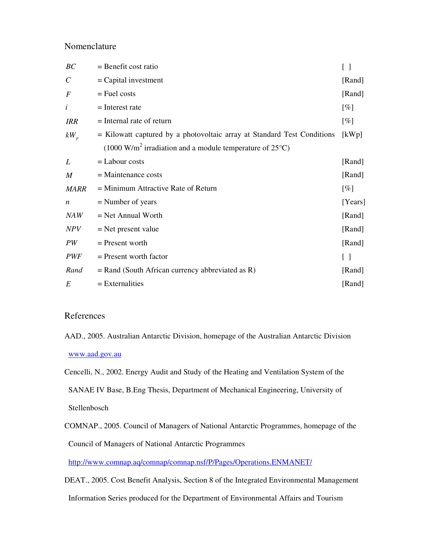## Nomenclature

| BC                    | $=$ Benefit cost ratio                                                                 | $\left[ \begin{array}{c} \end{array} \right]$ |
|-----------------------|----------------------------------------------------------------------------------------|-----------------------------------------------|
| $\mathcal{C}_{0}^{0}$ | $=$ Capital investment                                                                 | [Rand]                                        |
| $\boldsymbol{F}$      | $=$ Fuel costs                                                                         | [Rand]                                        |
| i                     | $=$ Interest rate                                                                      | $[\%]$                                        |
| <b>IRR</b>            | $=$ Internal rate of return                                                            | $[\%]$                                        |
| $kW_{p}$              | = Kilowatt captured by a photovoltaic array at Standard Test Conditions                | [kWp]                                         |
|                       | $(1000 \text{ W/m}^2 \text{ irradiation}$ and a module temperature of 25 $^{\circ}$ C) |                                               |
| L                     | $=$ Labour costs                                                                       | [Rand]                                        |
| $\boldsymbol{M}$      | $=$ Maintenance costs                                                                  | [Rand]                                        |
| <b>MARR</b>           | $=$ Minimum Attractive Rate of Return                                                  | $[\%]$                                        |
| $\boldsymbol{n}$      | $=$ Number of years                                                                    | [Years]                                       |
| NAW                   | $=$ Net Annual Worth                                                                   | [Rand]                                        |
| NPV                   | $=$ Net present value                                                                  | [Rand]                                        |
| PW                    | $=$ Present worth                                                                      | [Rand]                                        |
| <i>PWF</i>            | $=$ Present worth factor                                                               | $\begin{bmatrix} 1 \end{bmatrix}$             |
| Rand                  | $=$ Rand (South African currency abbreviated as R)                                     | [Rand]                                        |
| E                     | $=$ Externalities                                                                      | [Rand]                                        |

### References

AAD., 2005. Australian Antarctic Division, homepage of the Australian Antarctic Division www.aad.gov.au

Cencelli, N., 2002. Energy Audit and Study of the Heating and Ventilation System of the

SANAE IV Base, B.Eng Thesis, Department of Mechanical Engineering, University of

Stellenbosch

COMNAP., 2005. Council of Managers of National Antarctic Programmes, homepage of the Council of Managers of National Antarctic Programmes

http://www.comnap.aq/comnap/comnap.nsf/P/Pages/Operations.ENMANET/

DEAT., 2005. Cost Benefit Analysis, Section 8 of the Integrated Environmental Management

Information Series produced for the Department of Environmental Affairs and Tourism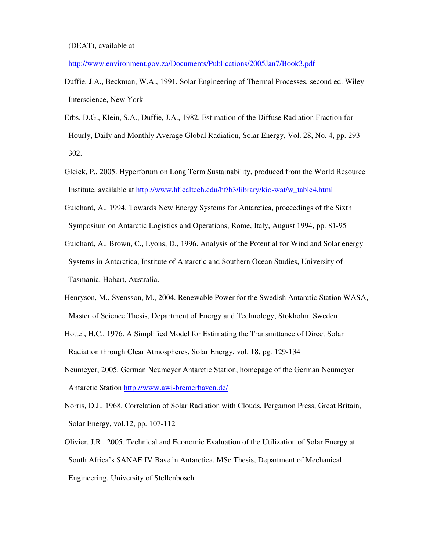http://www.environment.gov.za/Documents/Publications/2005Jan7/Book3.pdf

- Duffie, J.A., Beckman, W.A., 1991. Solar Engineering of Thermal Processes, second ed. Wiley Interscience, New York
- Erbs, D.G., Klein, S.A., Duffie, J.A., 1982. Estimation of the Diffuse Radiation Fraction for Hourly, Daily and Monthly Average Global Radiation, Solar Energy, Vol. 28, No. 4, pp. 293- 302.
- Gleick, P., 2005. Hyperforum on Long Term Sustainability, produced from the World Resource Institute, available at http://www.hf.caltech.edu/hf/b3/library/kio-wat/w\_table4.html
- Guichard, A., 1994. Towards New Energy Systems for Antarctica, proceedings of the Sixth Symposium on Antarctic Logistics and Operations, Rome, Italy, August 1994, pp. 81-95
- Guichard, A., Brown, C., Lyons, D., 1996. Analysis of the Potential for Wind and Solar energy Systems in Antarctica, Institute of Antarctic and Southern Ocean Studies, University of Tasmania, Hobart, Australia.
- Henryson, M., Svensson, M., 2004. Renewable Power for the Swedish Antarctic Station WASA, Master of Science Thesis, Department of Energy and Technology, Stokholm, Sweden
- Hottel, H.C., 1976. A Simplified Model for Estimating the Transmittance of Direct Solar Radiation through Clear Atmospheres, Solar Energy, vol. 18, pg. 129-134
- Neumeyer, 2005. German Neumeyer Antarctic Station, homepage of the German Neumeyer Antarctic Station http://www.awi-bremerhaven.de/
- Norris, D.J., 1968. Correlation of Solar Radiation with Clouds, Pergamon Press, Great Britain, Solar Energy, vol.12, pp. 107-112
- Olivier, J.R., 2005. Technical and Economic Evaluation of the Utilization of Solar Energy at South Africa's SANAE IV Base in Antarctica, MSc Thesis, Department of Mechanical Engineering, University of Stellenbosch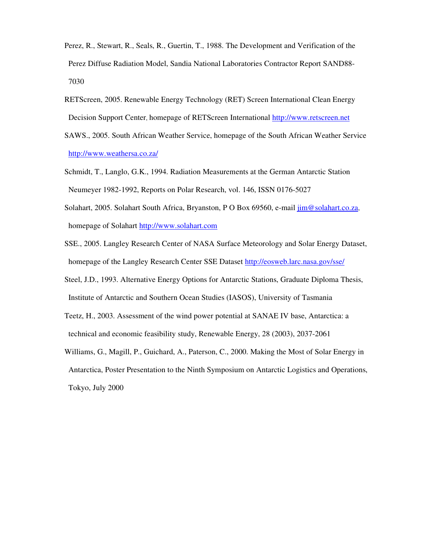- Perez, R., Stewart, R., Seals, R., Guertin, T., 1988. The Development and Verification of the Perez Diffuse Radiation Model, Sandia National Laboratories Contractor Report SAND88- 7030
- RETScreen, 2005. Renewable Energy Technology (RET) Screen International Clean Energy Decision Support Center, homepage of RETScreen International http://www.retscreen.net
- SAWS., 2005. South African Weather Service, homepage of the South African Weather Service http://www.weathersa.co.za/
- Schmidt, T., Langlo, G.K., 1994. Radiation Measurements at the German Antarctic Station Neumeyer 1982-1992, Reports on Polar Research, vol. 146, ISSN 0176-5027
- Solahart, 2005. Solahart South Africa, Bryanston, P O Box 69560, e-mail jim@solahart.co.za, homepage of Solahart http://www.solahart.com
- SSE., 2005. Langley Research Center of NASA Surface Meteorology and Solar Energy Dataset, homepage of the Langley Research Center SSE Dataset http://eosweb.larc.nasa.gov/sse/
- Steel, J.D., 1993. Alternative Energy Options for Antarctic Stations, Graduate Diploma Thesis, Institute of Antarctic and Southern Ocean Studies (IASOS), University of Tasmania
- Teetz, H., 2003. Assessment of the wind power potential at SANAE IV base, Antarctica: a technical and economic feasibility study, Renewable Energy, 28 (2003), 2037-2061
- Williams, G., Magill, P., Guichard, A., Paterson, C., 2000. Making the Most of Solar Energy in Antarctica, Poster Presentation to the Ninth Symposium on Antarctic Logistics and Operations, Tokyo, July 2000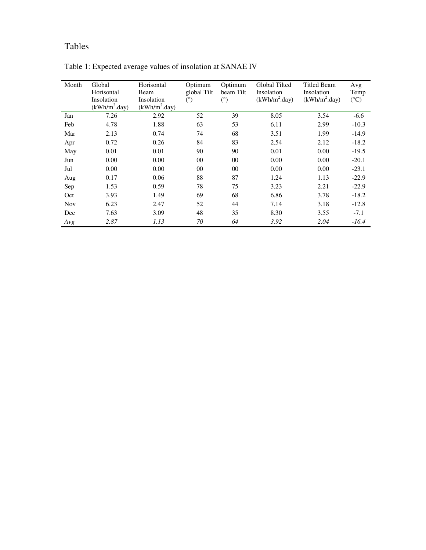# Tables

| Month      | Global<br>Horisontal<br>Insolation | Horisontal<br>Beam<br>Insolation | Optimum<br>global Tilt<br>$(\degree)$ | Optimum<br>beam Tilt<br>$(^\circ)$ | Global Tilted<br>Insolation<br>$(kWh/m^2 \text{.day})$ | Titled Beam<br>Insolation<br>(kWh/m <sup>2</sup> .day) | Avg<br>Temp<br>$(^{\circ}C)$ |
|------------|------------------------------------|----------------------------------|---------------------------------------|------------------------------------|--------------------------------------------------------|--------------------------------------------------------|------------------------------|
|            | (kWh/m <sup>2</sup> .day)          | (kWh/m <sup>2</sup> .day)        |                                       |                                    |                                                        |                                                        |                              |
| Jan        | 7.26                               | 2.92                             | 52                                    | 39                                 | 8.05                                                   | 3.54                                                   | $-6.6$                       |
| Feb        | 4.78                               | 1.88                             | 63                                    | 53                                 | 6.11                                                   | 2.99                                                   | $-10.3$                      |
| Mar        | 2.13                               | 0.74                             | 74                                    | 68                                 | 3.51                                                   | 1.99                                                   | $-14.9$                      |
| Apr        | 0.72                               | 0.26                             | 84                                    | 83                                 | 2.54                                                   | 2.12                                                   | $-18.2$                      |
| May        | 0.01                               | 0.01                             | 90                                    | 90                                 | 0.01                                                   | 0.00                                                   | $-19.5$                      |
| Jun        | 0.00                               | 0.00                             | 0 <sup>0</sup>                        | 00                                 | 0.00                                                   | 0.00                                                   | $-20.1$                      |
| Jul        | 0.00                               | 0.00                             | $00\,$                                | 00                                 | 0.00                                                   | 0.00                                                   | $-23.1$                      |
| Aug        | 0.17                               | 0.06                             | 88                                    | 87                                 | 1.24                                                   | 1.13                                                   | $-22.9$                      |
| Sep        | 1.53                               | 0.59                             | 78                                    | 75                                 | 3.23                                                   | 2.21                                                   | $-22.9$                      |
| Oct        | 3.93                               | 1.49                             | 69                                    | 68                                 | 6.86                                                   | 3.78                                                   | $-18.2$                      |
| <b>Nov</b> | 6.23                               | 2.47                             | 52                                    | 44                                 | 7.14                                                   | 3.18                                                   | $-12.8$                      |
| Dec        | 7.63                               | 3.09                             | 48                                    | 35                                 | 8.30                                                   | 3.55                                                   | $-7.1$                       |
| Avg        | 2.87                               | 1.13                             | 70                                    | 64                                 | 3.92                                                   | 2.04                                                   | $-16.4$                      |

Table 1: Expected average values of insolation at SANAE IV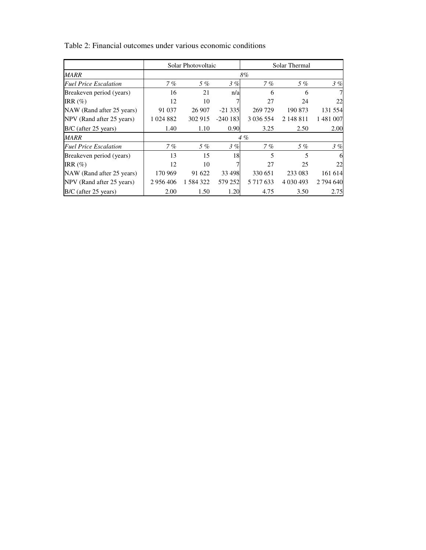|                              |           | Solar Photovoltaic |           |               | Solar Thermal |           |
|------------------------------|-----------|--------------------|-----------|---------------|---------------|-----------|
| <b>MARR</b>                  |           |                    |           | 8%            |               |           |
| <b>Fuel Price Escalation</b> | 7%        | 5%                 | 3%        | 7%            | 5%            | 3%        |
| Breakeven period (years)     | 16        | 21                 | n/a       | 6             | 6             |           |
| IRR $(\%)$                   | 12        | 10                 | 7         | 27            | 24            | 22        |
| NAW (Rand after 25 years)    | 91 037    | 26 907             | $-21335$  | 269 729       | 190 873       | 131 554   |
| NPV (Rand after 25 years)    | 1 024 882 | 302 915            | $-240183$ | 3 0 3 6 5 5 4 | 2 148 811     | 1481007   |
| B/C (after 25 years)         | 1.40      | 1.10               | 0.90      | 3.25          | 2.50          | 2.00      |
| MARR                         |           |                    |           | 4%            |               |           |
| <b>Fuel Price Escalation</b> | 7%        | 5 %                | 3%        | 7%            | 5%            | 3%        |
| Breakeven period (years)     | 13        | 15                 | 18        | 5             | 5             | 6         |
| IRR $(\%)$                   | 12        | 10                 |           | 27            | 25            | 22        |
| NAW (Rand after 25 years)    | 170 969   | 91 622             | 33 4 98   | 330 651       | 233 083       | 161 614   |
| NPV (Rand after 25 years)    | 2 956 406 | 1 584 322          | 579 252   | 5 7 1 7 6 3 3 | 4 0 3 0 4 9 3 | 2 794 640 |
| B/C (after 25 years)         | 2.00      | 1.50               | 1.20      | 4.75          | 3.50          | 2.75      |

Table 2: Financial outcomes under various economic conditions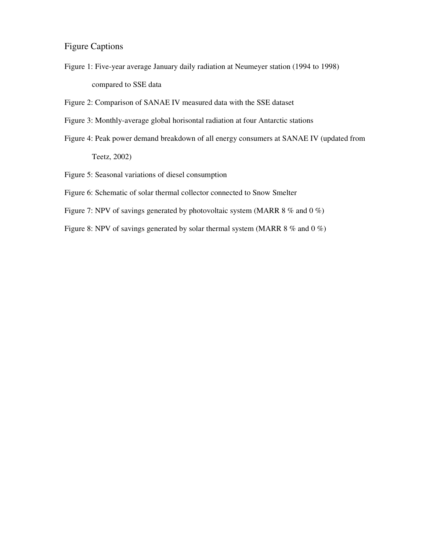## Figure Captions

Figure 1: Five-year average January daily radiation at Neumeyer station (1994 to 1998) compared to SSE data

Figure 2: Comparison of SANAE IV measured data with the SSE dataset

- Figure 3: Monthly-average global horisontal radiation at four Antarctic stations
- Figure 4: Peak power demand breakdown of all energy consumers at SANAE IV (updated from Teetz, 2002)

Figure 5: Seasonal variations of diesel consumption

- Figure 6: Schematic of solar thermal collector connected to Snow Smelter
- Figure 7: NPV of savings generated by photovoltaic system (MARR 8 % and 0 %)

Figure 8: NPV of savings generated by solar thermal system (MARR 8 % and 0 %)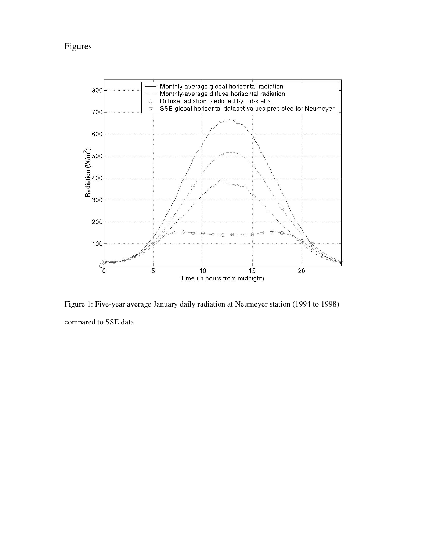## Figures



Figure 1: Five-year average January daily radiation at Neumeyer station (1994 to 1998) compared to SSE data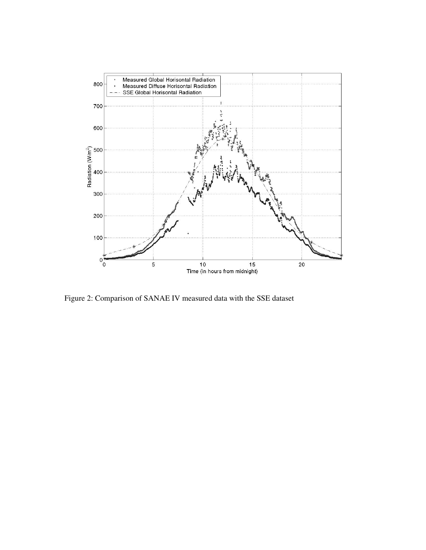

Figure 2: Comparison of SANAE IV measured data with the SSE dataset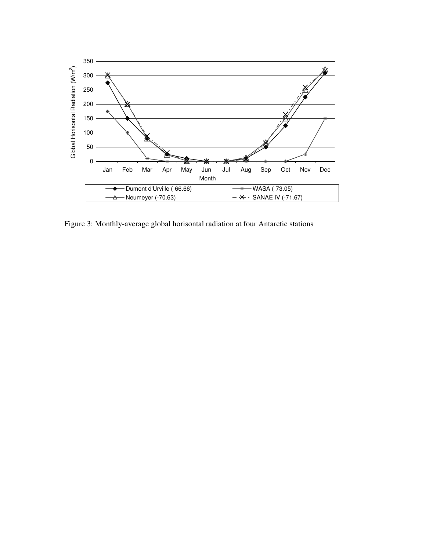

Figure 3: Monthly-average global horisontal radiation at four Antarctic stations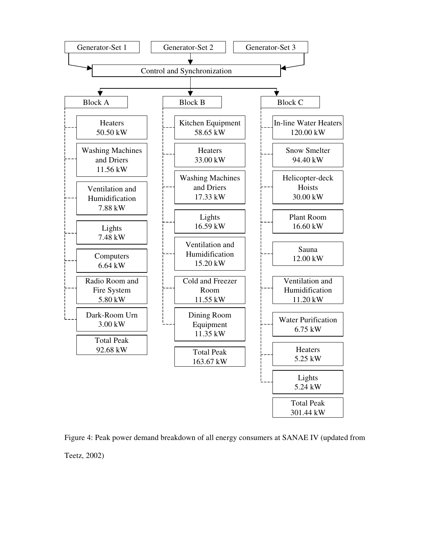

Figure 4: Peak power demand breakdown of all energy consumers at SANAE IV (updated from Teetz, 2002)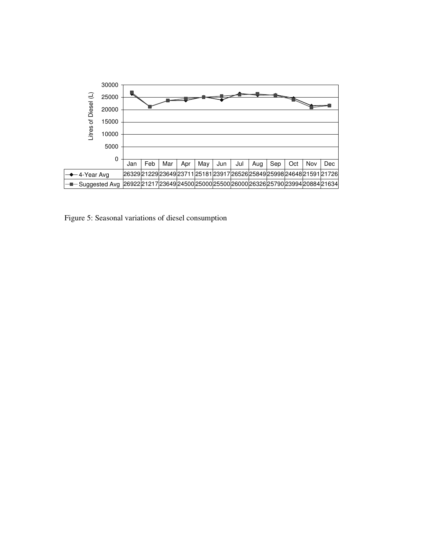

Figure 5: Seasonal variations of diesel consumption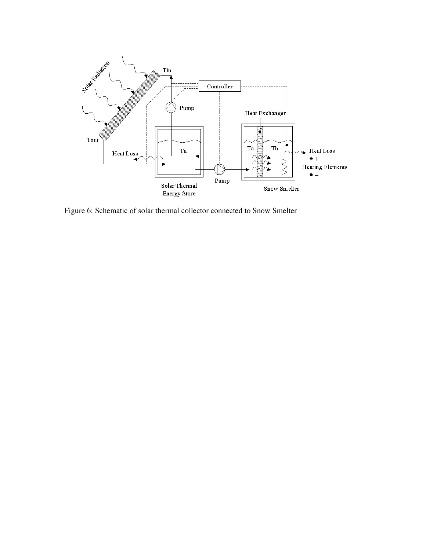

Figure 6: Schematic of solar thermal collector connected to Snow Smelter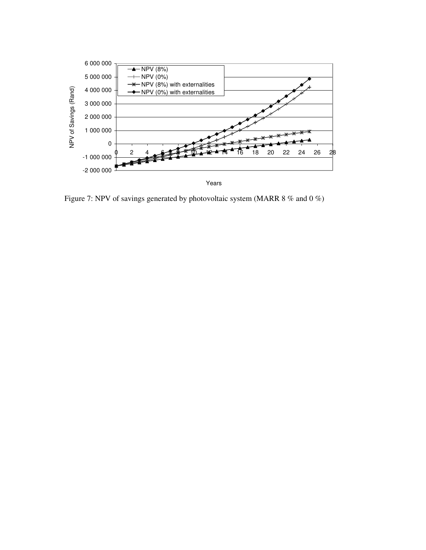

Figure 7: NPV of savings generated by photovoltaic system (MARR 8 % and 0 %)